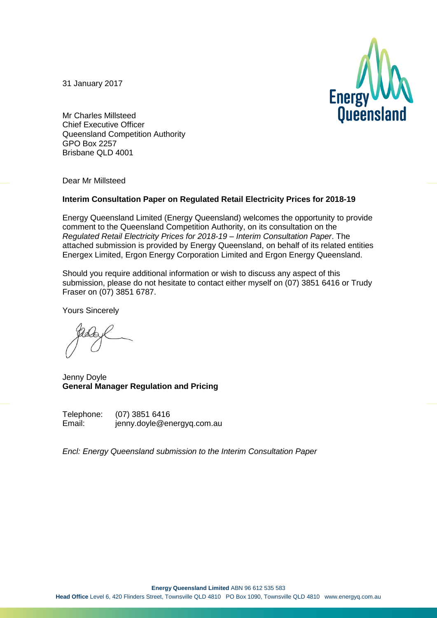31 January 2017



Mr Charles Millsteed Chief Executive Officer Queensland Competition Authority GPO Box 2257 Brisbane QLD 4001

Dear Mr Millsteed

#### **Interim Consultation Paper on Regulated Retail Electricity Prices for 2018-19**

Energy Queensland Limited (Energy Queensland) welcomes the opportunity to provide comment to the Queensland Competition Authority, on its consultation on the *Regulated Retail Electricity Prices for 2018-19 – Interim Consultation Paper*. The attached submission is provided by Energy Queensland, on behalf of its related entities Energex Limited, Ergon Energy Corporation Limited and Ergon Energy Queensland.

Should you require additional information or wish to discuss any aspect of this submission, please do not hesitate to contact either myself on (07) 3851 6416 or Trudy Fraser on (07) 3851 6787.

Yours Sincerely

Jenny Doyle **General Manager Regulation and Pricing**

Telephone: (07) 3851 6416 Email: jenny.doyle@energyq.com.au

*Encl: Energy Queensland submission to the Interim Consultation Paper*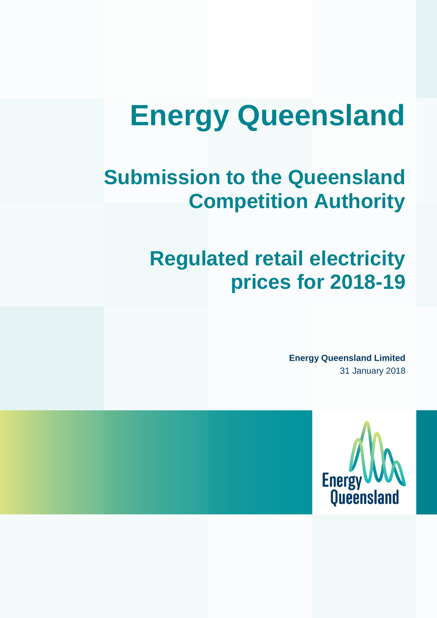# **Energy Queensland**

# **Submission to the Queensland Competition Authority**

# **Regulated retail electricity prices for 2018-19**

**Energy Queensland Limited** 31 January 2018

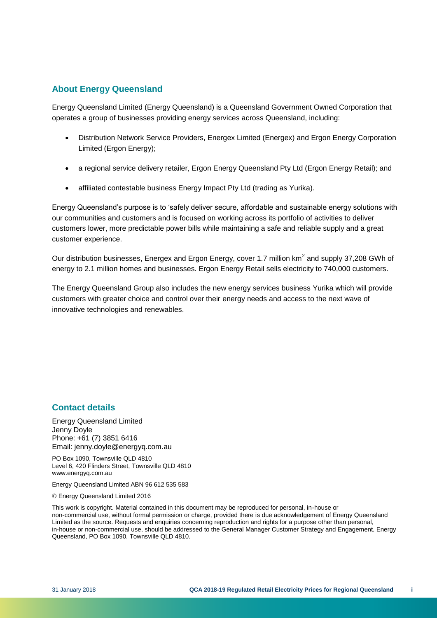#### **About Energy Queensland**

Energy Queensland Limited (Energy Queensland) is a Queensland Government Owned Corporation that operates a group of businesses providing energy services across Queensland, including:

- Distribution Network Service Providers, Energex Limited (Energex) and Ergon Energy Corporation Limited (Ergon Energy);
- a regional service delivery retailer, Ergon Energy Queensland Pty Ltd (Ergon Energy Retail); and
- affiliated contestable business Energy Impact Pty Ltd (trading as Yurika).

Energy Queensland's purpose is to 'safely deliver secure, affordable and sustainable energy solutions with our communities and customers and is focused on working across its portfolio of activities to deliver customers lower, more predictable power bills while maintaining a safe and reliable supply and a great customer experience.

Our distribution businesses, Energex and Ergon Energy, cover 1.7 million  $km^2$  and supply 37,208 GWh of energy to 2.1 million homes and businesses. Ergon Energy Retail sells electricity to 740,000 customers.

The Energy Queensland Group also includes the new energy services business Yurika which will provide customers with greater choice and control over their energy needs and access to the next wave of innovative technologies and renewables.

#### **Contact details**

Energy Queensland Limited Jenny Doyle Phone: +61 (7) 3851 6416 Email: jenny.doyle@energyq.com.au

PO Box 1090, Townsville QLD 4810 Level 6, 420 Flinders Street, Townsville QLD 4810 www.energyq.com.au

Energy Queensland Limited ABN 96 612 535 583

© Energy Queensland Limited 2016

This work is copyright. Material contained in this document may be reproduced for personal, in-house or non-commercial use, without formal permission or charge, provided there is due acknowledgement of Energy Queensland Limited as the source. Requests and enquiries concerning reproduction and rights for a purpose other than personal, in-house or non-commercial use, should be addressed to the General Manager Customer Strategy and Engagement, Energy Queensland, PO Box 1090, Townsville QLD 4810.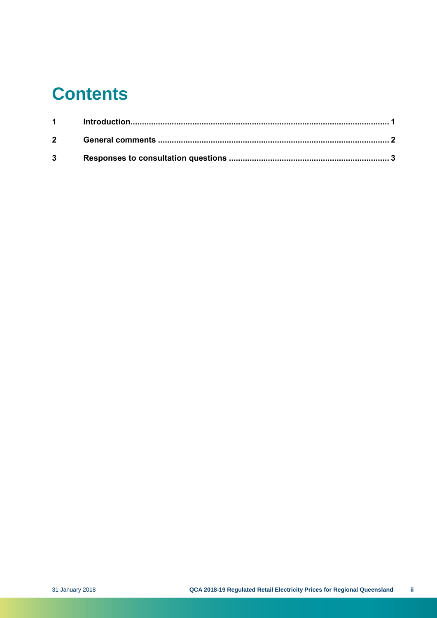# **Contents**

| $1 \quad \blacksquare$ |  |
|------------------------|--|
| $2^{\sim}$             |  |
| $3^{\circ}$            |  |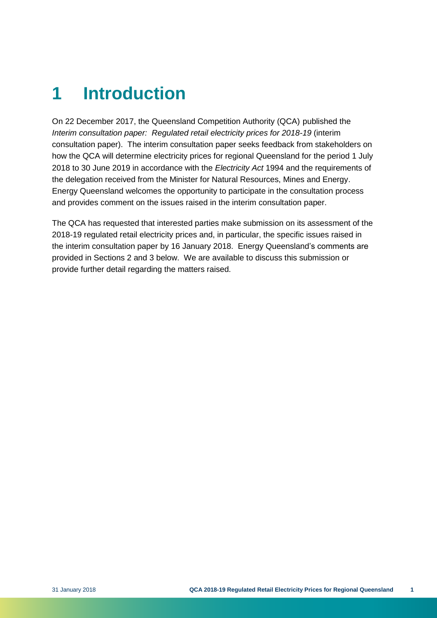# <span id="page-4-0"></span>**1 Introduction**

On 22 December 2017, the Queensland Competition Authority (QCA) published the *Interim consultation paper: Regulated retail electricity prices for 2018-19* (interim consultation paper). The interim consultation paper seeks feedback from stakeholders on how the QCA will determine electricity prices for regional Queensland for the period 1 July 2018 to 30 June 2019 in accordance with the *Electricity Act* 1994 and the requirements of the delegation received from the Minister for Natural Resources, Mines and Energy. Energy Queensland welcomes the opportunity to participate in the consultation process and provides comment on the issues raised in the interim consultation paper.

The QCA has requested that interested parties make submission on its assessment of the 2018-19 regulated retail electricity prices and, in particular, the specific issues raised in the interim consultation paper by 16 January 2018. Energy Queensland's comments are provided in Sections 2 and 3 below. We are available to discuss this submission or provide further detail regarding the matters raised.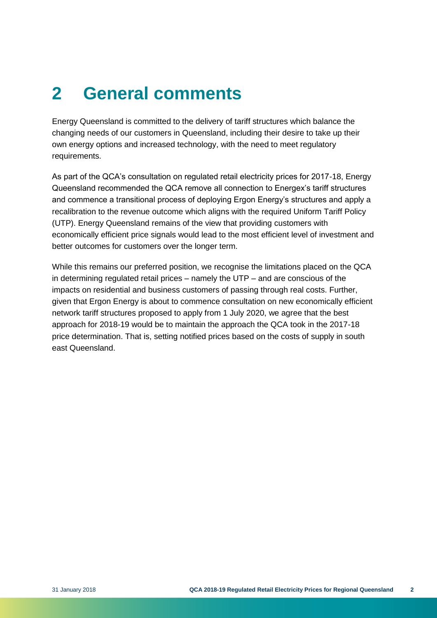### <span id="page-5-0"></span>**2 General comments**

Energy Queensland is committed to the delivery of tariff structures which balance the changing needs of our customers in Queensland, including their desire to take up their own energy options and increased technology, with the need to meet regulatory requirements.

As part of the QCA's consultation on regulated retail electricity prices for 2017-18, Energy Queensland recommended the QCA remove all connection to Energex's tariff structures and commence a transitional process of deploying Ergon Energy's structures and apply a recalibration to the revenue outcome which aligns with the required Uniform Tariff Policy (UTP). Energy Queensland remains of the view that providing customers with economically efficient price signals would lead to the most efficient level of investment and better outcomes for customers over the longer term.

While this remains our preferred position, we recognise the limitations placed on the QCA in determining regulated retail prices – namely the UTP – and are conscious of the impacts on residential and business customers of passing through real costs. Further, given that Ergon Energy is about to commence consultation on new economically efficient network tariff structures proposed to apply from 1 July 2020, we agree that the best approach for 2018-19 would be to maintain the approach the QCA took in the 2017-18 price determination. That is, setting notified prices based on the costs of supply in south east Queensland.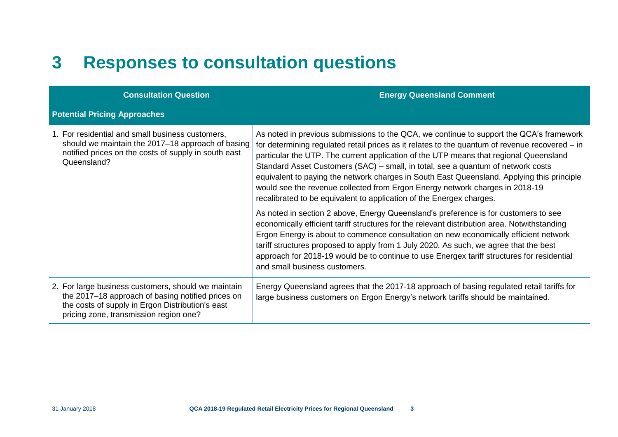### **3 Responses to consultation questions**

<span id="page-6-0"></span>

| <b>Consultation Question</b>                                                                                                                                                                           | <b>Energy Queensland Comment</b>                                                                                                                                                                                                                                                                                                                                                                                                                                                                                                                                                                                                                                                                                                                                                                                                                                                                                                                                                                                                                                                                   |
|--------------------------------------------------------------------------------------------------------------------------------------------------------------------------------------------------------|----------------------------------------------------------------------------------------------------------------------------------------------------------------------------------------------------------------------------------------------------------------------------------------------------------------------------------------------------------------------------------------------------------------------------------------------------------------------------------------------------------------------------------------------------------------------------------------------------------------------------------------------------------------------------------------------------------------------------------------------------------------------------------------------------------------------------------------------------------------------------------------------------------------------------------------------------------------------------------------------------------------------------------------------------------------------------------------------------|
| <b>Potential Pricing Approaches</b>                                                                                                                                                                    |                                                                                                                                                                                                                                                                                                                                                                                                                                                                                                                                                                                                                                                                                                                                                                                                                                                                                                                                                                                                                                                                                                    |
| 1. For residential and small business customers,<br>should we maintain the 2017–18 approach of basing<br>notified prices on the costs of supply in south east<br>Queensland?                           | As noted in previous submissions to the QCA, we continue to support the QCA's framework<br>for determining regulated retail prices as it relates to the quantum of revenue recovered – in<br>particular the UTP. The current application of the UTP means that regional Queensland<br>Standard Asset Customers (SAC) – small, in total, see a quantum of network costs<br>equivalent to paying the network charges in South East Queensland. Applying this principle<br>would see the revenue collected from Ergon Energy network charges in 2018-19<br>recalibrated to be equivalent to application of the Energex charges.<br>As noted in section 2 above, Energy Queensland's preference is for customers to see<br>economically efficient tariff structures for the relevant distribution area. Notwithstanding<br>Ergon Energy is about to commence consultation on new economically efficient network<br>tariff structures proposed to apply from 1 July 2020. As such, we agree that the best<br>approach for 2018-19 would be to continue to use Energex tariff structures for residential |
|                                                                                                                                                                                                        | and small business customers.                                                                                                                                                                                                                                                                                                                                                                                                                                                                                                                                                                                                                                                                                                                                                                                                                                                                                                                                                                                                                                                                      |
| 2. For large business customers, should we maintain<br>the 2017–18 approach of basing notified prices on<br>the costs of supply in Ergon Distribution's east<br>pricing zone, transmission region one? | Energy Queensland agrees that the 2017-18 approach of basing regulated retail tariffs for<br>large business customers on Ergon Energy's network tariffs should be maintained.                                                                                                                                                                                                                                                                                                                                                                                                                                                                                                                                                                                                                                                                                                                                                                                                                                                                                                                      |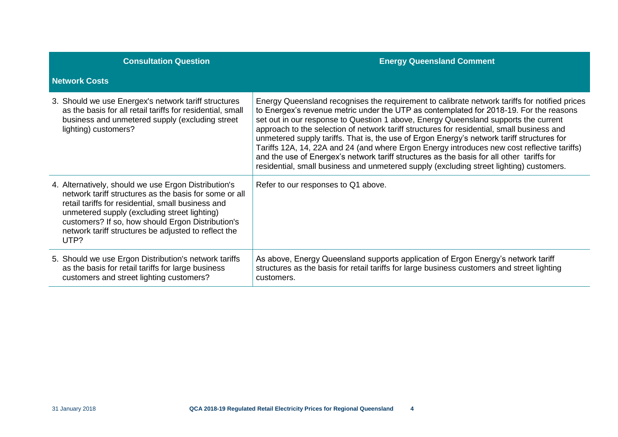| <b>Consultation Question</b>                                                                                                                                                                                                                                                                                                              | <b>Energy Queensland Comment</b>                                                                                                                                                                                                                                                                                                                                                                                                                                                                                                                                                                                                                                                                                                                                  |
|-------------------------------------------------------------------------------------------------------------------------------------------------------------------------------------------------------------------------------------------------------------------------------------------------------------------------------------------|-------------------------------------------------------------------------------------------------------------------------------------------------------------------------------------------------------------------------------------------------------------------------------------------------------------------------------------------------------------------------------------------------------------------------------------------------------------------------------------------------------------------------------------------------------------------------------------------------------------------------------------------------------------------------------------------------------------------------------------------------------------------|
| <b>Network Costs</b>                                                                                                                                                                                                                                                                                                                      |                                                                                                                                                                                                                                                                                                                                                                                                                                                                                                                                                                                                                                                                                                                                                                   |
| 3. Should we use Energex's network tariff structures<br>as the basis for all retail tariffs for residential, small<br>business and unmetered supply (excluding street<br>lighting) customers?                                                                                                                                             | Energy Queensland recognises the requirement to calibrate network tariffs for notified prices<br>to Energex's revenue metric under the UTP as contemplated for 2018-19. For the reasons<br>set out in our response to Question 1 above, Energy Queensland supports the current<br>approach to the selection of network tariff structures for residential, small business and<br>unmetered supply tariffs. That is, the use of Ergon Energy's network tariff structures for<br>Tariffs 12A, 14, 22A and 24 (and where Ergon Energy introduces new cost reflective tariffs)<br>and the use of Energex's network tariff structures as the basis for all other tariffs for<br>residential, small business and unmetered supply (excluding street lighting) customers. |
| 4. Alternatively, should we use Ergon Distribution's<br>network tariff structures as the basis for some or all<br>retail tariffs for residential, small business and<br>unmetered supply (excluding street lighting)<br>customers? If so, how should Ergon Distribution's<br>network tariff structures be adjusted to reflect the<br>UTP? | Refer to our responses to Q1 above.                                                                                                                                                                                                                                                                                                                                                                                                                                                                                                                                                                                                                                                                                                                               |
| 5. Should we use Ergon Distribution's network tariffs<br>as the basis for retail tariffs for large business<br>customers and street lighting customers?                                                                                                                                                                                   | As above, Energy Queensland supports application of Ergon Energy's network tariff<br>structures as the basis for retail tariffs for large business customers and street lighting<br>customers.                                                                                                                                                                                                                                                                                                                                                                                                                                                                                                                                                                    |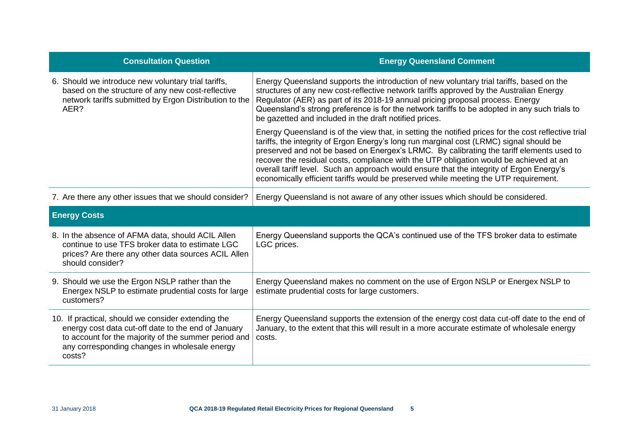| <b>Consultation Question</b>                                                                                                                                                                                       | <b>Energy Queensland Comment</b>                                                                                                                                                                                                                                                                                                                                                                                                                                                                                                                                         |
|--------------------------------------------------------------------------------------------------------------------------------------------------------------------------------------------------------------------|--------------------------------------------------------------------------------------------------------------------------------------------------------------------------------------------------------------------------------------------------------------------------------------------------------------------------------------------------------------------------------------------------------------------------------------------------------------------------------------------------------------------------------------------------------------------------|
| 6. Should we introduce new voluntary trial tariffs,<br>based on the structure of any new cost-reflective<br>network tariffs submitted by Ergon Distribution to the<br>AER?                                         | Energy Queensland supports the introduction of new voluntary trial tariffs, based on the<br>structures of any new cost-reflective network tariffs approved by the Australian Energy<br>Regulator (AER) as part of its 2018-19 annual pricing proposal process. Energy<br>Queensland's strong preference is for the network tariffs to be adopted in any such trials to<br>be gazetted and included in the draft notified prices.                                                                                                                                         |
|                                                                                                                                                                                                                    | Energy Queensland is of the view that, in setting the notified prices for the cost reflective trial<br>tariffs, the integrity of Ergon Energy's long run marginal cost (LRMC) signal should be<br>preserved and not be based on Energex's LRMC. By calibrating the tariff elements used to<br>recover the residual costs, compliance with the UTP obligation would be achieved at an<br>overall tariff level. Such an approach would ensure that the integrity of Ergon Energy's<br>economically efficient tariffs would be preserved while meeting the UTP requirement. |
| 7. Are there any other issues that we should consider?                                                                                                                                                             | Energy Queensland is not aware of any other issues which should be considered.                                                                                                                                                                                                                                                                                                                                                                                                                                                                                           |
| <b>Energy Costs</b>                                                                                                                                                                                                |                                                                                                                                                                                                                                                                                                                                                                                                                                                                                                                                                                          |
| 8. In the absence of AFMA data, should ACIL Allen<br>continue to use TFS broker data to estimate LGC<br>prices? Are there any other data sources ACIL Allen<br>should consider?                                    | Energy Queensland supports the QCA's continued use of the TFS broker data to estimate<br>LGC prices.                                                                                                                                                                                                                                                                                                                                                                                                                                                                     |
| 9. Should we use the Ergon NSLP rather than the<br>Energex NSLP to estimate prudential costs for large<br>customers?                                                                                               | Energy Queensland makes no comment on the use of Ergon NSLP or Energex NSLP to<br>estimate prudential costs for large customers.                                                                                                                                                                                                                                                                                                                                                                                                                                         |
| 10. If practical, should we consider extending the<br>energy cost data cut-off date to the end of January<br>to account for the majority of the summer period and<br>any corresponding changes in wholesale energy | Energy Queensland supports the extension of the energy cost data cut-off date to the end of<br>January, to the extent that this will result in a more accurate estimate of wholesale energy<br>costs.                                                                                                                                                                                                                                                                                                                                                                    |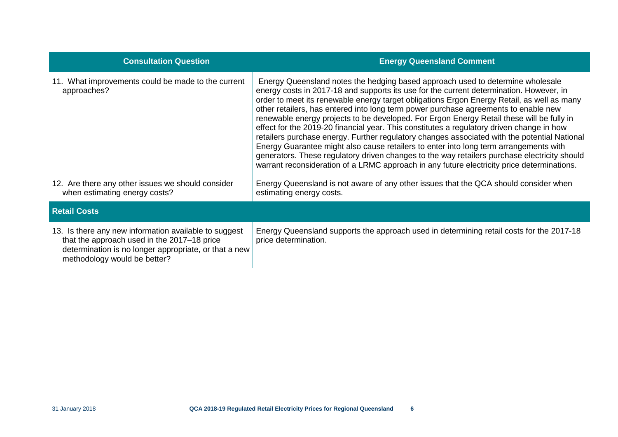| <b>Consultation Question</b>                                                                                                                                                                  | <b>Energy Queensland Comment</b>                                                                                                                                                                                                                                                                                                                                                                                                                                                                                                                                                                                                                                                                                                                                                                                                                                                                                                                |
|-----------------------------------------------------------------------------------------------------------------------------------------------------------------------------------------------|-------------------------------------------------------------------------------------------------------------------------------------------------------------------------------------------------------------------------------------------------------------------------------------------------------------------------------------------------------------------------------------------------------------------------------------------------------------------------------------------------------------------------------------------------------------------------------------------------------------------------------------------------------------------------------------------------------------------------------------------------------------------------------------------------------------------------------------------------------------------------------------------------------------------------------------------------|
| 11. What improvements could be made to the current<br>approaches?                                                                                                                             | Energy Queensland notes the hedging based approach used to determine wholesale<br>energy costs in 2017-18 and supports its use for the current determination. However, in<br>order to meet its renewable energy target obligations Ergon Energy Retail, as well as many<br>other retailers, has entered into long term power purchase agreements to enable new<br>renewable energy projects to be developed. For Ergon Energy Retail these will be fully in<br>effect for the 2019-20 financial year. This constitutes a regulatory driven change in how<br>retailers purchase energy. Further regulatory changes associated with the potential National<br>Energy Guarantee might also cause retailers to enter into long term arrangements with<br>generators. These regulatory driven changes to the way retailers purchase electricity should<br>warrant reconsideration of a LRMC approach in any future electricity price determinations. |
| 12. Are there any other issues we should consider<br>when estimating energy costs?                                                                                                            | Energy Queensland is not aware of any other issues that the QCA should consider when<br>estimating energy costs.                                                                                                                                                                                                                                                                                                                                                                                                                                                                                                                                                                                                                                                                                                                                                                                                                                |
| <b>Retail Costs</b>                                                                                                                                                                           |                                                                                                                                                                                                                                                                                                                                                                                                                                                                                                                                                                                                                                                                                                                                                                                                                                                                                                                                                 |
| 13. Is there any new information available to suggest<br>that the approach used in the 2017-18 price<br>determination is no longer appropriate, or that a new<br>methodology would be better? | Energy Queensland supports the approach used in determining retail costs for the 2017-18<br>price determination.                                                                                                                                                                                                                                                                                                                                                                                                                                                                                                                                                                                                                                                                                                                                                                                                                                |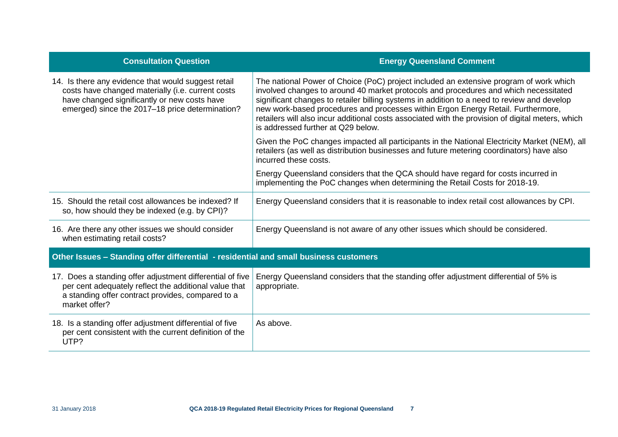| <b>Consultation Question</b>                                                                                                                                                                                | <b>Energy Queensland Comment</b>                                                                                                                                                                                                                                                                                                                                                                                                                                                                             |
|-------------------------------------------------------------------------------------------------------------------------------------------------------------------------------------------------------------|--------------------------------------------------------------------------------------------------------------------------------------------------------------------------------------------------------------------------------------------------------------------------------------------------------------------------------------------------------------------------------------------------------------------------------------------------------------------------------------------------------------|
| 14. Is there any evidence that would suggest retail<br>costs have changed materially (i.e. current costs<br>have changed significantly or new costs have<br>emerged) since the 2017-18 price determination? | The national Power of Choice (PoC) project included an extensive program of work which<br>involved changes to around 40 market protocols and procedures and which necessitated<br>significant changes to retailer billing systems in addition to a need to review and develop<br>new work-based procedures and processes within Ergon Energy Retail. Furthermore,<br>retailers will also incur additional costs associated with the provision of digital meters, which<br>is addressed further at Q29 below. |
|                                                                                                                                                                                                             | Given the PoC changes impacted all participants in the National Electricity Market (NEM), all<br>retailers (as well as distribution businesses and future metering coordinators) have also<br>incurred these costs.                                                                                                                                                                                                                                                                                          |
|                                                                                                                                                                                                             | Energy Queensland considers that the QCA should have regard for costs incurred in<br>implementing the PoC changes when determining the Retail Costs for 2018-19.                                                                                                                                                                                                                                                                                                                                             |
| 15. Should the retail cost allowances be indexed? If<br>so, how should they be indexed (e.g. by CPI)?                                                                                                       | Energy Queensland considers that it is reasonable to index retail cost allowances by CPI.                                                                                                                                                                                                                                                                                                                                                                                                                    |
| 16. Are there any other issues we should consider<br>when estimating retail costs?                                                                                                                          | Energy Queensland is not aware of any other issues which should be considered.                                                                                                                                                                                                                                                                                                                                                                                                                               |
| Other Issues - Standing offer differential - residential and small business customers                                                                                                                       |                                                                                                                                                                                                                                                                                                                                                                                                                                                                                                              |
| 17. Does a standing offer adjustment differential of five<br>per cent adequately reflect the additional value that<br>a standing offer contract provides, compared to a<br>market offer?                    | Energy Queensland considers that the standing offer adjustment differential of 5% is<br>appropriate.                                                                                                                                                                                                                                                                                                                                                                                                         |
| 18. Is a standing offer adjustment differential of five<br>per cent consistent with the current definition of the<br>UTP?                                                                                   | As above.                                                                                                                                                                                                                                                                                                                                                                                                                                                                                                    |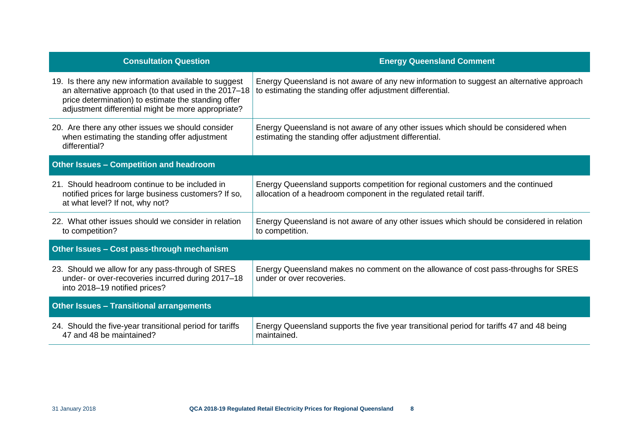| <b>Consultation Question</b>                                                                                                                                                                                               | <b>Energy Queensland Comment</b>                                                                                                                      |
|----------------------------------------------------------------------------------------------------------------------------------------------------------------------------------------------------------------------------|-------------------------------------------------------------------------------------------------------------------------------------------------------|
| 19. Is there any new information available to suggest<br>an alternative approach (to that used in the 2017-18<br>price determination) to estimate the standing offer<br>adjustment differential might be more appropriate? | Energy Queensland is not aware of any new information to suggest an alternative approach<br>to estimating the standing offer adjustment differential. |
| 20. Are there any other issues we should consider<br>when estimating the standing offer adjustment<br>differential?                                                                                                        | Energy Queensland is not aware of any other issues which should be considered when<br>estimating the standing offer adjustment differential.          |
| Other Issues - Competition and headroom                                                                                                                                                                                    |                                                                                                                                                       |
| 21. Should headroom continue to be included in<br>notified prices for large business customers? If so,<br>at what level? If not, why not?                                                                                  | Energy Queensland supports competition for regional customers and the continued<br>allocation of a headroom component in the regulated retail tariff. |
| 22. What other issues should we consider in relation<br>to competition?                                                                                                                                                    | Energy Queensland is not aware of any other issues which should be considered in relation<br>to competition.                                          |
| Other Issues - Cost pass-through mechanism                                                                                                                                                                                 |                                                                                                                                                       |
| 23. Should we allow for any pass-through of SRES<br>under- or over-recoveries incurred during 2017-18<br>into 2018-19 notified prices?                                                                                     | Energy Queensland makes no comment on the allowance of cost pass-throughs for SRES<br>under or over recoveries.                                       |
| <b>Other Issues - Transitional arrangements</b>                                                                                                                                                                            |                                                                                                                                                       |
| 24. Should the five-year transitional period for tariffs<br>47 and 48 be maintained?                                                                                                                                       | Energy Queensland supports the five year transitional period for tariffs 47 and 48 being<br>maintained.                                               |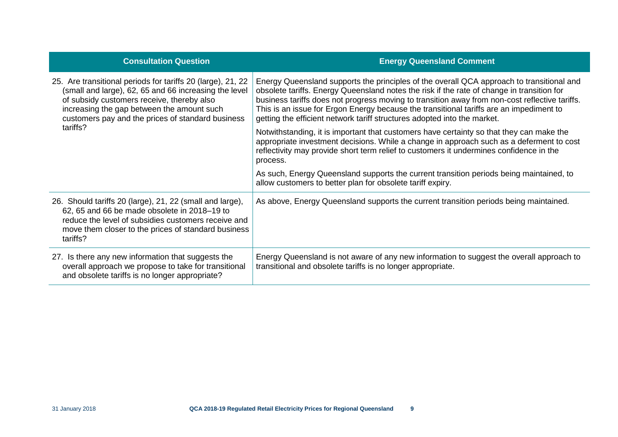| <b>Consultation Question</b>                                                                                                                                                                                                                                          | <b>Energy Queensland Comment</b>                                                                                                                                                                                                                                                                                                                                                                                                                                 |
|-----------------------------------------------------------------------------------------------------------------------------------------------------------------------------------------------------------------------------------------------------------------------|------------------------------------------------------------------------------------------------------------------------------------------------------------------------------------------------------------------------------------------------------------------------------------------------------------------------------------------------------------------------------------------------------------------------------------------------------------------|
| 25. Are transitional periods for tariffs 20 (large), 21, 22<br>(small and large), 62, 65 and 66 increasing the level<br>of subsidy customers receive, thereby also<br>increasing the gap between the amount such<br>customers pay and the prices of standard business | Energy Queensland supports the principles of the overall QCA approach to transitional and<br>obsolete tariffs. Energy Queensland notes the risk if the rate of change in transition for<br>business tariffs does not progress moving to transition away from non-cost reflective tariffs.<br>This is an issue for Ergon Energy because the transitional tariffs are an impediment to<br>getting the efficient network tariff structures adopted into the market. |
| tariffs?                                                                                                                                                                                                                                                              | Notwithstanding, it is important that customers have certainty so that they can make the<br>appropriate investment decisions. While a change in approach such as a deferment to cost<br>reflectivity may provide short term relief to customers it undermines confidence in the<br>process.                                                                                                                                                                      |
|                                                                                                                                                                                                                                                                       | As such, Energy Queensland supports the current transition periods being maintained, to<br>allow customers to better plan for obsolete tariff expiry.                                                                                                                                                                                                                                                                                                            |
| 26. Should tariffs 20 (large), 21, 22 (small and large),<br>62, 65 and 66 be made obsolete in 2018-19 to<br>reduce the level of subsidies customers receive and<br>move them closer to the prices of standard business<br>tariffs?                                    | As above, Energy Queensland supports the current transition periods being maintained.                                                                                                                                                                                                                                                                                                                                                                            |
| 27. Is there any new information that suggests the<br>overall approach we propose to take for transitional<br>and obsolete tariffs is no longer appropriate?                                                                                                          | Energy Queensland is not aware of any new information to suggest the overall approach to<br>transitional and obsolete tariffs is no longer appropriate.                                                                                                                                                                                                                                                                                                          |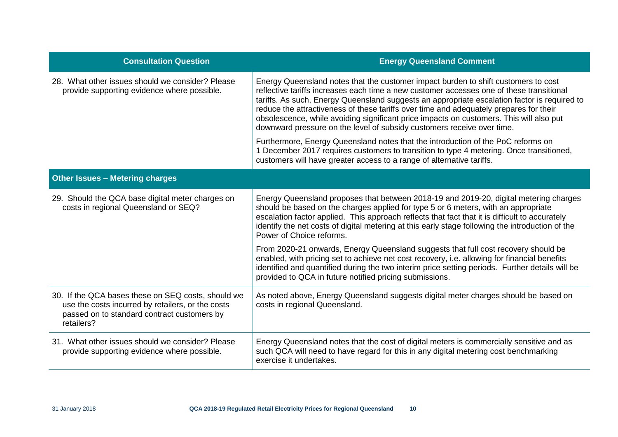| <b>Consultation Question</b>                                                                                                                                         | <b>Energy Queensland Comment</b>                                                                                                                                                                                                                                                                                                                                                                                                                                                                                                              |
|----------------------------------------------------------------------------------------------------------------------------------------------------------------------|-----------------------------------------------------------------------------------------------------------------------------------------------------------------------------------------------------------------------------------------------------------------------------------------------------------------------------------------------------------------------------------------------------------------------------------------------------------------------------------------------------------------------------------------------|
| 28. What other issues should we consider? Please<br>provide supporting evidence where possible.                                                                      | Energy Queensland notes that the customer impact burden to shift customers to cost<br>reflective tariffs increases each time a new customer accesses one of these transitional<br>tariffs. As such, Energy Queensland suggests an appropriate escalation factor is required to<br>reduce the attractiveness of these tariffs over time and adequately prepares for their<br>obsolescence, while avoiding significant price impacts on customers. This will also put<br>downward pressure on the level of subsidy customers receive over time. |
|                                                                                                                                                                      | Furthermore, Energy Queensland notes that the introduction of the PoC reforms on<br>1 December 2017 requires customers to transition to type 4 metering. Once transitioned,<br>customers will have greater access to a range of alternative tariffs.                                                                                                                                                                                                                                                                                          |
| <b>Other Issues - Metering charges</b>                                                                                                                               |                                                                                                                                                                                                                                                                                                                                                                                                                                                                                                                                               |
| 29. Should the QCA base digital meter charges on<br>costs in regional Queensland or SEQ?                                                                             | Energy Queensland proposes that between 2018-19 and 2019-20, digital metering charges<br>should be based on the charges applied for type 5 or 6 meters, with an appropriate<br>escalation factor applied. This approach reflects that fact that it is difficult to accurately<br>identify the net costs of digital metering at this early stage following the introduction of the<br>Power of Choice reforms.                                                                                                                                 |
|                                                                                                                                                                      | From 2020-21 onwards, Energy Queensland suggests that full cost recovery should be<br>enabled, with pricing set to achieve net cost recovery, i.e. allowing for financial benefits<br>identified and quantified during the two interim price setting periods. Further details will be<br>provided to QCA in future notified pricing submissions.                                                                                                                                                                                              |
| 30. If the QCA bases these on SEQ costs, should we<br>use the costs incurred by retailers, or the costs<br>passed on to standard contract customers by<br>retailers? | As noted above, Energy Queensland suggests digital meter charges should be based on<br>costs in regional Queensland.                                                                                                                                                                                                                                                                                                                                                                                                                          |
| 31. What other issues should we consider? Please<br>provide supporting evidence where possible.                                                                      | Energy Queensland notes that the cost of digital meters is commercially sensitive and as<br>such QCA will need to have regard for this in any digital metering cost benchmarking<br>exercise it undertakes.                                                                                                                                                                                                                                                                                                                                   |